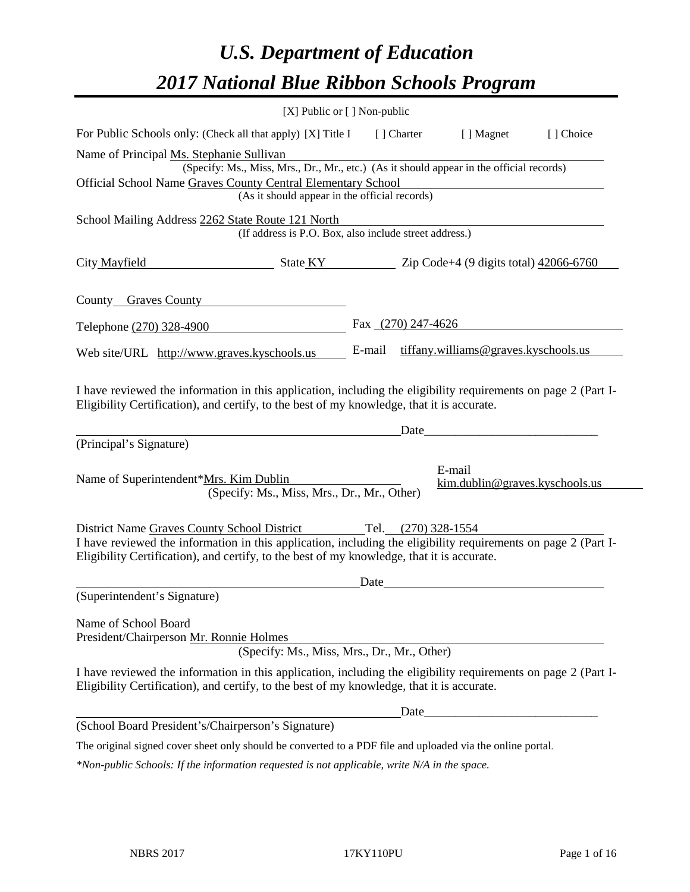# *U.S. Department of Education 2017 National Blue Ribbon Schools Program*

| [X] Public or [] Non-public                                                                                                                                                                                  |        |                     |                                                            |           |
|--------------------------------------------------------------------------------------------------------------------------------------------------------------------------------------------------------------|--------|---------------------|------------------------------------------------------------|-----------|
| For Public Schools only: (Check all that apply) [X] Title I                                                                                                                                                  |        | [ ] Charter         | [ ] Magnet                                                 | [] Choice |
| Name of Principal Ms. Stephanie Sullivan<br>(Specify: Ms., Miss, Mrs., Dr., Mr., etc.) (As it should appear in the official records)<br>Official School Name Graves County Central Elementary School         |        |                     |                                                            |           |
| (As it should appear in the official records)                                                                                                                                                                |        |                     |                                                            |           |
| School Mailing Address 2262 State Route 121 North<br>(If address is P.O. Box, also include street address.)                                                                                                  |        |                     |                                                            |           |
| City Mayfield<br>$\frac{1}{2066-6760}$ State KY $\frac{1}{2066-6760}$ Zip Code+4 (9 digits total) $\frac{42066-6760}{2066-6760}$                                                                             |        |                     |                                                            |           |
| County Graves County                                                                                                                                                                                         |        |                     |                                                            |           |
| Telephone (270) 328-4900                                                                                                                                                                                     |        | Fax (270) 247-4626  |                                                            |           |
| Web site/URL http://www.graves.kyschools.us                                                                                                                                                                  | E-mail |                     | tiffany.williams@graves.kyschools.us                       |           |
| I have reviewed the information in this application, including the eligibility requirements on page 2 (Part I-<br>Eligibility Certification), and certify, to the best of my knowledge, that it is accurate. |        | Date                |                                                            |           |
| (Principal's Signature)                                                                                                                                                                                      |        |                     |                                                            |           |
| Name of Superintendent*Mrs. Kim Dublin<br>(Specify: Ms., Miss, Mrs., Dr., Mr., Other)                                                                                                                        |        |                     | E-mail<br>$\lim_{\omega \to 0}$ dublin@graves.kyschools.us |           |
| District Name Graves County School District                                                                                                                                                                  |        | Tel. (270) 328-1554 |                                                            |           |
| I have reviewed the information in this application, including the eligibility requirements on page 2 (Part I-<br>Eligibility Certification), and certify, to the best of my knowledge, that it is accurate. |        |                     |                                                            |           |
|                                                                                                                                                                                                              | Date   |                     |                                                            |           |
| (Superintendent's Signature)                                                                                                                                                                                 |        |                     |                                                            |           |
| Name of School Board<br>President/Chairperson Mr. Ronnie Holmes<br>(Specify: Ms., Miss, Mrs., Dr., Mr., Other)                                                                                               |        |                     |                                                            |           |
| I have reviewed the information in this application, including the eligibility requirements on page 2 (Part I-<br>Eligibility Certification), and certify, to the best of my knowledge, that it is accurate. |        |                     |                                                            |           |
|                                                                                                                                                                                                              |        | Date_               |                                                            |           |
| (School Board President's/Chairperson's Signature)                                                                                                                                                           |        |                     |                                                            |           |
| The original signed cover sheet only should be converted to a PDF file and uploaded via the online portal.                                                                                                   |        |                     |                                                            |           |

*\*Non-public Schools: If the information requested is not applicable, write N/A in the space.*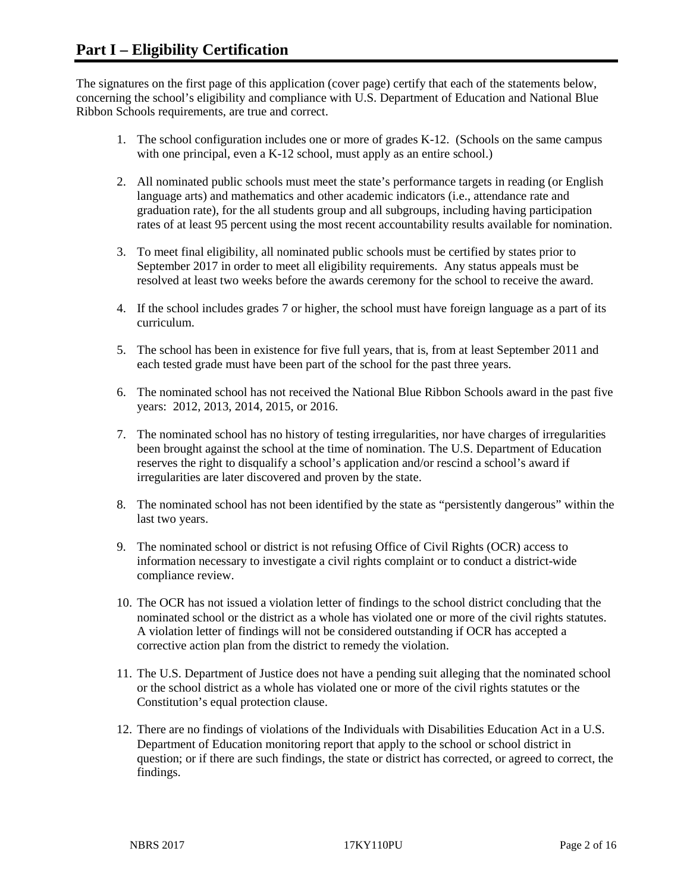The signatures on the first page of this application (cover page) certify that each of the statements below, concerning the school's eligibility and compliance with U.S. Department of Education and National Blue Ribbon Schools requirements, are true and correct.

- 1. The school configuration includes one or more of grades K-12. (Schools on the same campus with one principal, even a K-12 school, must apply as an entire school.)
- 2. All nominated public schools must meet the state's performance targets in reading (or English language arts) and mathematics and other academic indicators (i.e., attendance rate and graduation rate), for the all students group and all subgroups, including having participation rates of at least 95 percent using the most recent accountability results available for nomination.
- 3. To meet final eligibility, all nominated public schools must be certified by states prior to September 2017 in order to meet all eligibility requirements. Any status appeals must be resolved at least two weeks before the awards ceremony for the school to receive the award.
- 4. If the school includes grades 7 or higher, the school must have foreign language as a part of its curriculum.
- 5. The school has been in existence for five full years, that is, from at least September 2011 and each tested grade must have been part of the school for the past three years.
- 6. The nominated school has not received the National Blue Ribbon Schools award in the past five years: 2012, 2013, 2014, 2015, or 2016.
- 7. The nominated school has no history of testing irregularities, nor have charges of irregularities been brought against the school at the time of nomination. The U.S. Department of Education reserves the right to disqualify a school's application and/or rescind a school's award if irregularities are later discovered and proven by the state.
- 8. The nominated school has not been identified by the state as "persistently dangerous" within the last two years.
- 9. The nominated school or district is not refusing Office of Civil Rights (OCR) access to information necessary to investigate a civil rights complaint or to conduct a district-wide compliance review.
- 10. The OCR has not issued a violation letter of findings to the school district concluding that the nominated school or the district as a whole has violated one or more of the civil rights statutes. A violation letter of findings will not be considered outstanding if OCR has accepted a corrective action plan from the district to remedy the violation.
- 11. The U.S. Department of Justice does not have a pending suit alleging that the nominated school or the school district as a whole has violated one or more of the civil rights statutes or the Constitution's equal protection clause.
- 12. There are no findings of violations of the Individuals with Disabilities Education Act in a U.S. Department of Education monitoring report that apply to the school or school district in question; or if there are such findings, the state or district has corrected, or agreed to correct, the findings.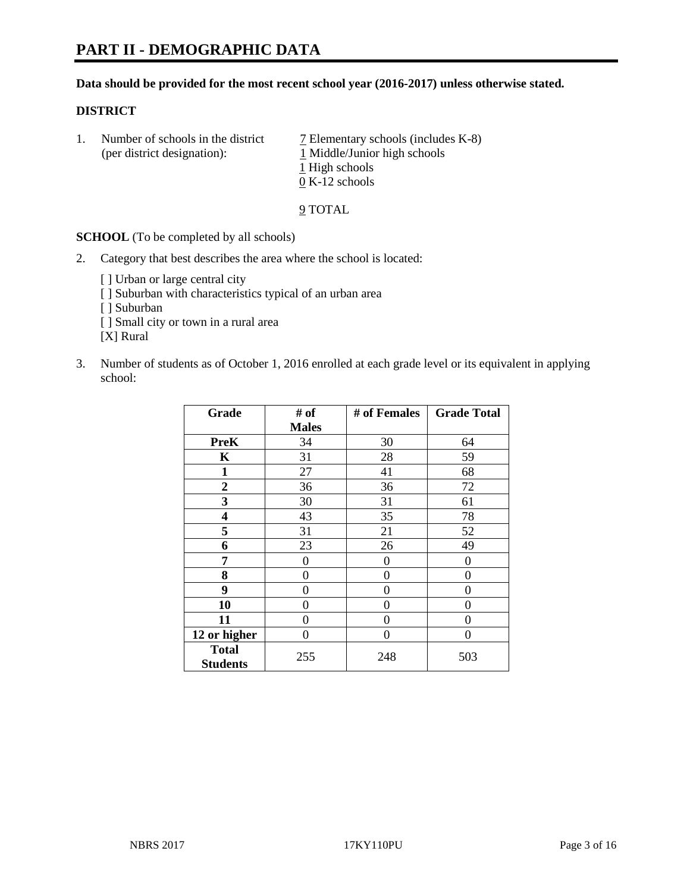### **Data should be provided for the most recent school year (2016-2017) unless otherwise stated.**

## **DISTRICT**

1. Number of schools in the district  $\overline{7}$  Elementary schools (includes K-8) (per district designation): 1 Middle/Junior high schools 1 High schools 0 K-12 schools

#### 9 TOTAL

**SCHOOL** (To be completed by all schools)

- 2. Category that best describes the area where the school is located:
	- [] Urban or large central city [ ] Suburban with characteristics typical of an urban area [ ] Suburban [ ] Small city or town in a rural area [X] Rural
- 3. Number of students as of October 1, 2016 enrolled at each grade level or its equivalent in applying school:

| Grade                           | # of         | # of Females | <b>Grade Total</b> |
|---------------------------------|--------------|--------------|--------------------|
|                                 | <b>Males</b> |              |                    |
| <b>PreK</b>                     | 34           | 30           | 64                 |
| $\mathbf K$                     | 31           | 28           | 59                 |
| $\mathbf{1}$                    | 27           | 41           | 68                 |
| $\overline{2}$                  | 36           | 36           | 72                 |
| 3                               | 30           | 31           | 61                 |
| 4                               | 43           | 35           | 78                 |
| 5                               | 31           | 21           | 52                 |
| 6                               | 23           | 26           | 49                 |
| 7                               | 0            | $\theta$     | 0                  |
| 8                               | 0            | $\theta$     | 0                  |
| 9                               | 0            | 0            | 0                  |
| 10                              | 0            | 0            | 0                  |
| 11                              | 0            | 0            | 0                  |
| 12 or higher                    | 0            | 0            | 0                  |
| <b>Total</b><br><b>Students</b> | 255          | 248          | 503                |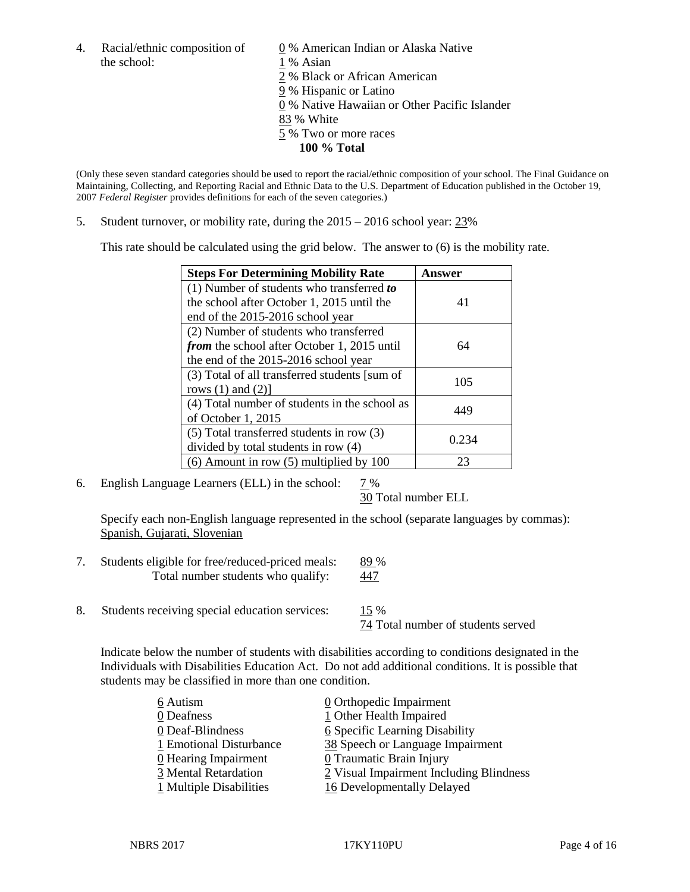4. Racial/ethnic composition of  $\qquad \qquad \underline{0}$  % American Indian or Alaska Native the school: 1 % Asian

 % Black or African American % Hispanic or Latino % Native Hawaiian or Other Pacific Islander 83 % White % Two or more races **100 % Total**

(Only these seven standard categories should be used to report the racial/ethnic composition of your school. The Final Guidance on Maintaining, Collecting, and Reporting Racial and Ethnic Data to the U.S. Department of Education published in the October 19, 2007 *Federal Register* provides definitions for each of the seven categories.)

5. Student turnover, or mobility rate, during the 2015 – 2016 school year: 23%

This rate should be calculated using the grid below. The answer to (6) is the mobility rate.

| <b>Steps For Determining Mobility Rate</b>         | Answer |  |
|----------------------------------------------------|--------|--|
| (1) Number of students who transferred to          |        |  |
| the school after October 1, 2015 until the         | 41     |  |
| end of the 2015-2016 school year                   |        |  |
| (2) Number of students who transferred             |        |  |
| <i>from</i> the school after October 1, 2015 until | 64     |  |
| the end of the 2015-2016 school year               |        |  |
| (3) Total of all transferred students [sum of      | 105    |  |
| rows $(1)$ and $(2)$ ]                             |        |  |
| (4) Total number of students in the school as      | 449    |  |
| of October 1, 2015                                 |        |  |
| (5) Total transferred students in row (3)          |        |  |
| divided by total students in row (4)               | 0.234  |  |
| $(6)$ Amount in row $(5)$ multiplied by 100        | 23     |  |

6. English Language Learners (ELL) in the school: 7 %

30 Total number ELL

Specify each non-English language represented in the school (separate languages by commas): Spanish, Gujarati, Slovenian

- 7. Students eligible for free/reduced-priced meals: 89 % Total number students who qualify: 447
- 8. Students receiving special education services: 15 %

74 Total number of students served

Indicate below the number of students with disabilities according to conditions designated in the Individuals with Disabilities Education Act. Do not add additional conditions. It is possible that students may be classified in more than one condition.

| 6 Autism                | $\underline{0}$ Orthopedic Impairment   |
|-------------------------|-----------------------------------------|
| 0 Deafness              | 1 Other Health Impaired                 |
| 0 Deaf-Blindness        | 6 Specific Learning Disability          |
| 1 Emotional Disturbance | 38 Speech or Language Impairment        |
| 0 Hearing Impairment    | 0 Traumatic Brain Injury                |
| 3 Mental Retardation    | 2 Visual Impairment Including Blindness |
| 1 Multiple Disabilities | 16 Developmentally Delayed              |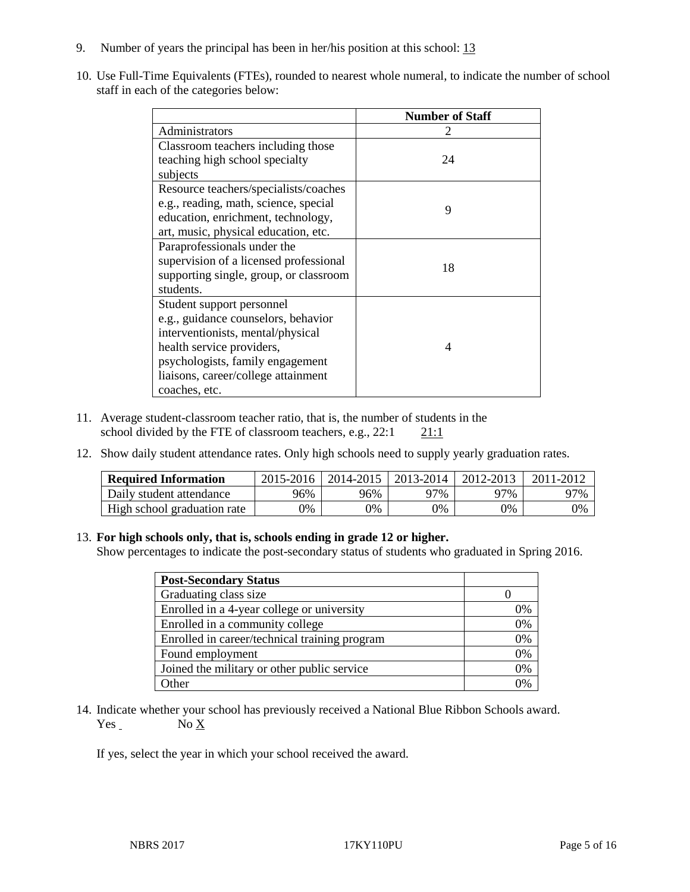- 9. Number of years the principal has been in her/his position at this school: 13
- 10. Use Full-Time Equivalents (FTEs), rounded to nearest whole numeral, to indicate the number of school staff in each of the categories below:

|                                        | <b>Number of Staff</b> |
|----------------------------------------|------------------------|
| Administrators                         |                        |
| Classroom teachers including those     |                        |
| teaching high school specialty         | 24                     |
| subjects                               |                        |
| Resource teachers/specialists/coaches  |                        |
| e.g., reading, math, science, special  | 9                      |
| education, enrichment, technology,     |                        |
| art, music, physical education, etc.   |                        |
| Paraprofessionals under the            |                        |
| supervision of a licensed professional | 18                     |
| supporting single, group, or classroom |                        |
| students.                              |                        |
| Student support personnel              |                        |
| e.g., guidance counselors, behavior    |                        |
| interventionists, mental/physical      |                        |
| health service providers,              | $\Delta$               |
| psychologists, family engagement       |                        |
| liaisons, career/college attainment    |                        |
| coaches, etc.                          |                        |

- 11. Average student-classroom teacher ratio, that is, the number of students in the school divided by the FTE of classroom teachers, e.g.,  $22:1$  21:1
- 12. Show daily student attendance rates. Only high schools need to supply yearly graduation rates.

| <b>Required Information</b> | 2015-2016 | 2014-2015 | 2013-2014 | 2012-2013 |     |
|-----------------------------|-----------|-----------|-----------|-----------|-----|
| Daily student attendance    | 96%       | 96%       | 97%       | ን7%       | 97% |
| High school graduation rate | 0%        | 0%        | 0%        | 9%        | 0%  |

#### 13. **For high schools only, that is, schools ending in grade 12 or higher.**

Show percentages to indicate the post-secondary status of students who graduated in Spring 2016.

| <b>Post-Secondary Status</b>                  |    |
|-----------------------------------------------|----|
| Graduating class size                         |    |
| Enrolled in a 4-year college or university    | 0% |
| Enrolled in a community college               | 0% |
| Enrolled in career/technical training program | 0% |
| Found employment                              | 0% |
| Joined the military or other public service   | 0% |
| Other                                         | ገ‰ |

14. Indicate whether your school has previously received a National Blue Ribbon Schools award.  $Yes$  No  $X$ 

If yes, select the year in which your school received the award.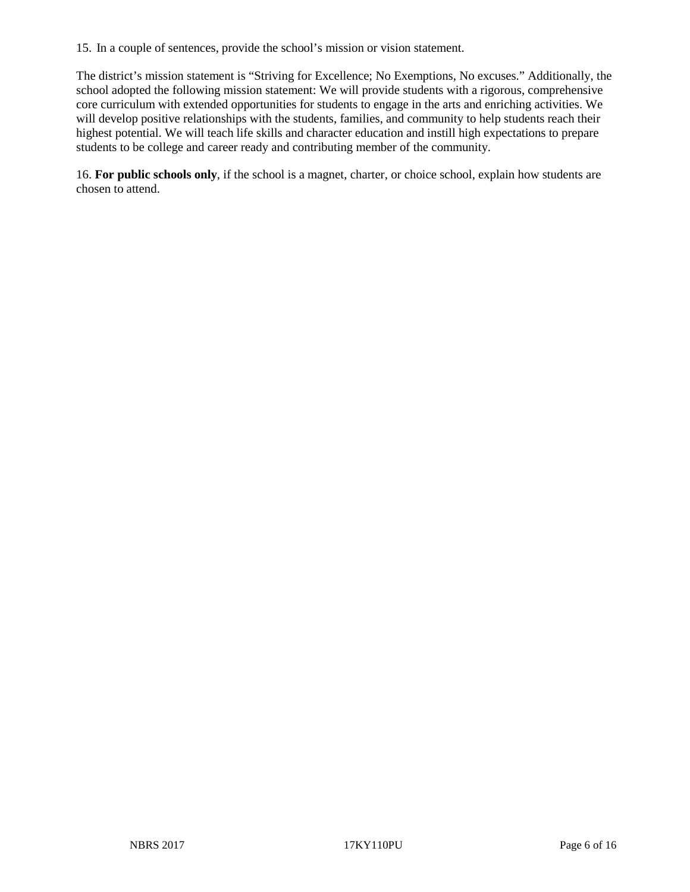15. In a couple of sentences, provide the school's mission or vision statement.

The district's mission statement is "Striving for Excellence; No Exemptions, No excuses." Additionally, the school adopted the following mission statement: We will provide students with a rigorous, comprehensive core curriculum with extended opportunities for students to engage in the arts and enriching activities. We will develop positive relationships with the students, families, and community to help students reach their highest potential. We will teach life skills and character education and instill high expectations to prepare students to be college and career ready and contributing member of the community.

16. **For public schools only**, if the school is a magnet, charter, or choice school, explain how students are chosen to attend.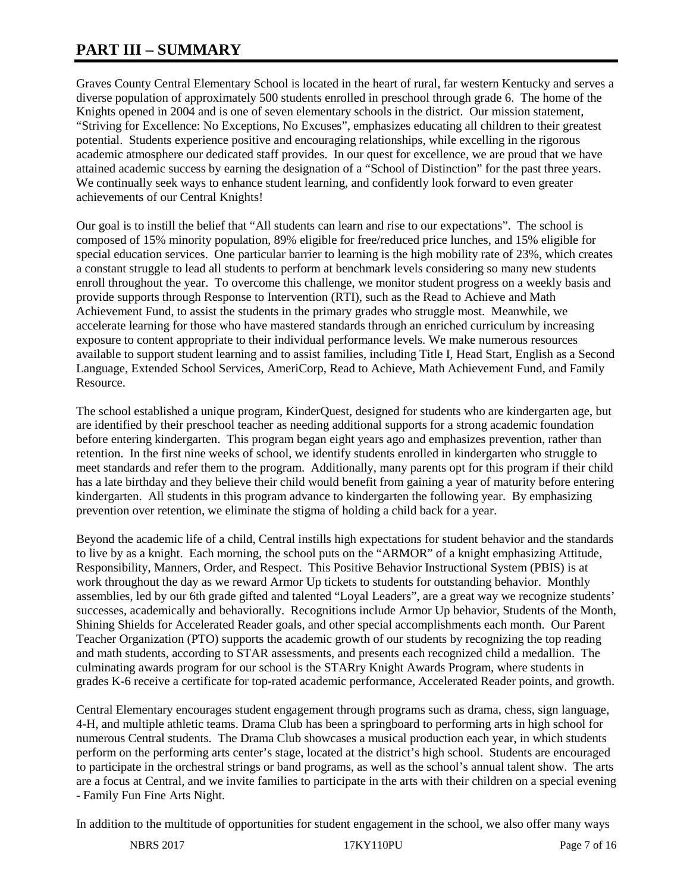# **PART III – SUMMARY**

Graves County Central Elementary School is located in the heart of rural, far western Kentucky and serves a diverse population of approximately 500 students enrolled in preschool through grade 6. The home of the Knights opened in 2004 and is one of seven elementary schools in the district. Our mission statement, "Striving for Excellence: No Exceptions, No Excuses", emphasizes educating all children to their greatest potential. Students experience positive and encouraging relationships, while excelling in the rigorous academic atmosphere our dedicated staff provides. In our quest for excellence, we are proud that we have attained academic success by earning the designation of a "School of Distinction" for the past three years. We continually seek ways to enhance student learning, and confidently look forward to even greater achievements of our Central Knights!

Our goal is to instill the belief that "All students can learn and rise to our expectations". The school is composed of 15% minority population, 89% eligible for free/reduced price lunches, and 15% eligible for special education services. One particular barrier to learning is the high mobility rate of 23%, which creates a constant struggle to lead all students to perform at benchmark levels considering so many new students enroll throughout the year. To overcome this challenge, we monitor student progress on a weekly basis and provide supports through Response to Intervention (RTI), such as the Read to Achieve and Math Achievement Fund, to assist the students in the primary grades who struggle most. Meanwhile, we accelerate learning for those who have mastered standards through an enriched curriculum by increasing exposure to content appropriate to their individual performance levels. We make numerous resources available to support student learning and to assist families, including Title I, Head Start, English as a Second Language, Extended School Services, AmeriCorp, Read to Achieve, Math Achievement Fund, and Family Resource.

The school established a unique program, KinderQuest, designed for students who are kindergarten age, but are identified by their preschool teacher as needing additional supports for a strong academic foundation before entering kindergarten. This program began eight years ago and emphasizes prevention, rather than retention. In the first nine weeks of school, we identify students enrolled in kindergarten who struggle to meet standards and refer them to the program. Additionally, many parents opt for this program if their child has a late birthday and they believe their child would benefit from gaining a year of maturity before entering kindergarten. All students in this program advance to kindergarten the following year. By emphasizing prevention over retention, we eliminate the stigma of holding a child back for a year.

Beyond the academic life of a child, Central instills high expectations for student behavior and the standards to live by as a knight. Each morning, the school puts on the "ARMOR" of a knight emphasizing Attitude, Responsibility, Manners, Order, and Respect. This Positive Behavior Instructional System (PBIS) is at work throughout the day as we reward Armor Up tickets to students for outstanding behavior. Monthly assemblies, led by our 6th grade gifted and talented "Loyal Leaders", are a great way we recognize students' successes, academically and behaviorally. Recognitions include Armor Up behavior, Students of the Month, Shining Shields for Accelerated Reader goals, and other special accomplishments each month. Our Parent Teacher Organization (PTO) supports the academic growth of our students by recognizing the top reading and math students, according to STAR assessments, and presents each recognized child a medallion. The culminating awards program for our school is the STARry Knight Awards Program, where students in grades K-6 receive a certificate for top-rated academic performance, Accelerated Reader points, and growth.

Central Elementary encourages student engagement through programs such as drama, chess, sign language, 4-H, and multiple athletic teams. Drama Club has been a springboard to performing arts in high school for numerous Central students. The Drama Club showcases a musical production each year, in which students perform on the performing arts center's stage, located at the district's high school. Students are encouraged to participate in the orchestral strings or band programs, as well as the school's annual talent show. The arts are a focus at Central, and we invite families to participate in the arts with their children on a special evening - Family Fun Fine Arts Night.

In addition to the multitude of opportunities for student engagement in the school, we also offer many ways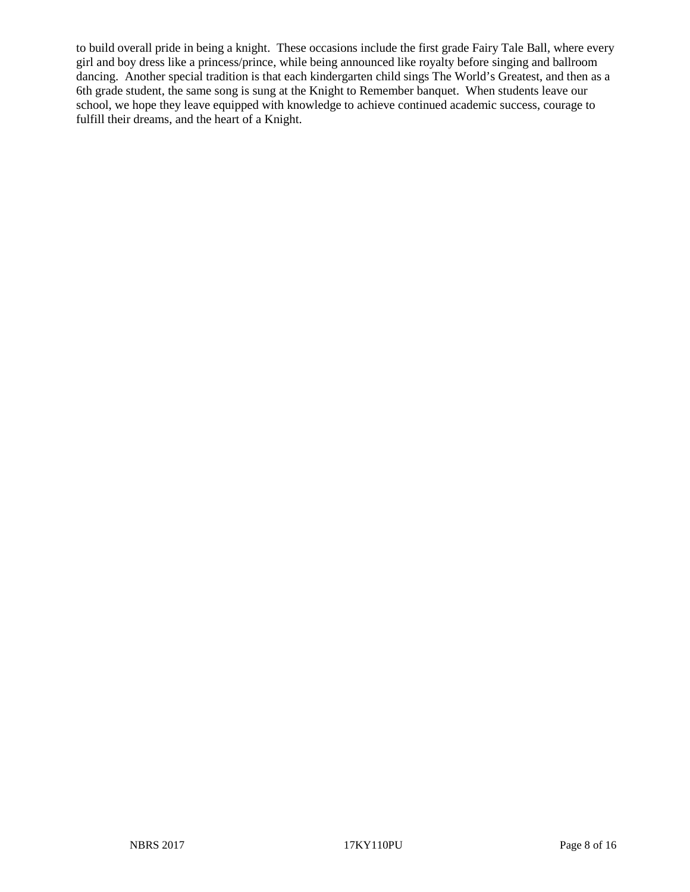to build overall pride in being a knight. These occasions include the first grade Fairy Tale Ball, where every girl and boy dress like a princess/prince, while being announced like royalty before singing and ballroom dancing. Another special tradition is that each kindergarten child sings The World's Greatest, and then as a 6th grade student, the same song is sung at the Knight to Remember banquet. When students leave our school, we hope they leave equipped with knowledge to achieve continued academic success, courage to fulfill their dreams, and the heart of a Knight.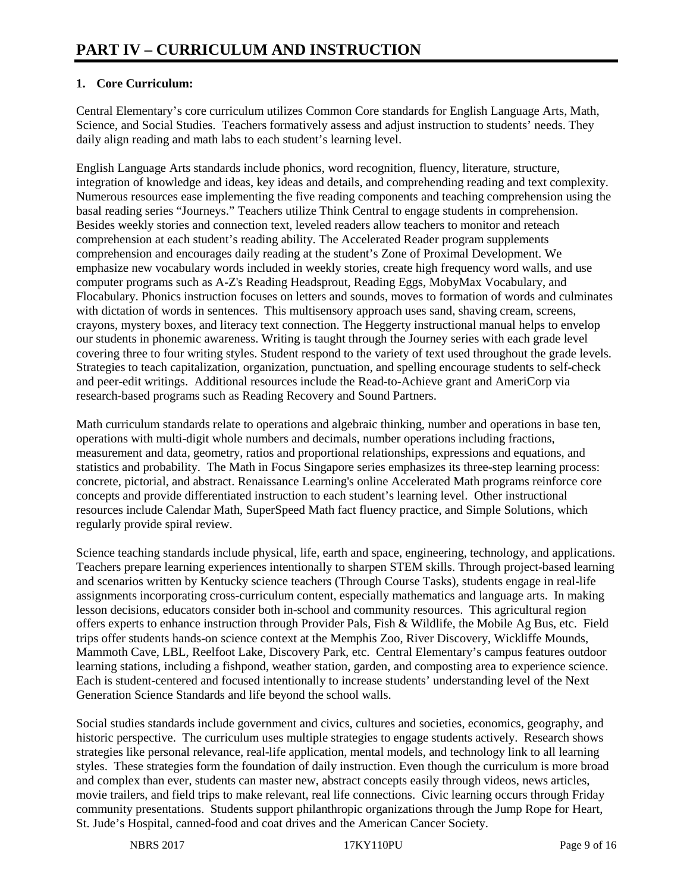# **1. Core Curriculum:**

Central Elementary's core curriculum utilizes Common Core standards for English Language Arts, Math, Science, and Social Studies. Teachers formatively assess and adjust instruction to students' needs. They daily align reading and math labs to each student's learning level.

English Language Arts standards include phonics, word recognition, fluency, literature, structure, integration of knowledge and ideas, key ideas and details, and comprehending reading and text complexity. Numerous resources ease implementing the five reading components and teaching comprehension using the basal reading series "Journeys." Teachers utilize Think Central to engage students in comprehension. Besides weekly stories and connection text, leveled readers allow teachers to monitor and reteach comprehension at each student's reading ability. The Accelerated Reader program supplements comprehension and encourages daily reading at the student's Zone of Proximal Development. We emphasize new vocabulary words included in weekly stories, create high frequency word walls, and use computer programs such as A-Z's Reading Headsprout, Reading Eggs, MobyMax Vocabulary, and Flocabulary. Phonics instruction focuses on letters and sounds, moves to formation of words and culminates with dictation of words in sentences. This multisensory approach uses sand, shaving cream, screens, crayons, mystery boxes, and literacy text connection. The Heggerty instructional manual helps to envelop our students in phonemic awareness. Writing is taught through the Journey series with each grade level covering three to four writing styles. Student respond to the variety of text used throughout the grade levels. Strategies to teach capitalization, organization, punctuation, and spelling encourage students to self-check and peer-edit writings. Additional resources include the Read-to-Achieve grant and AmeriCorp via research-based programs such as Reading Recovery and Sound Partners.

Math curriculum standards relate to operations and algebraic thinking, number and operations in base ten, operations with multi-digit whole numbers and decimals, number operations including fractions, measurement and data, geometry, ratios and proportional relationships, expressions and equations, and statistics and probability. The Math in Focus Singapore series emphasizes its three-step learning process: concrete, pictorial, and abstract. Renaissance Learning's online Accelerated Math programs reinforce core concepts and provide differentiated instruction to each student's learning level. Other instructional resources include Calendar Math, SuperSpeed Math fact fluency practice, and Simple Solutions, which regularly provide spiral review.

Science teaching standards include physical, life, earth and space, engineering, technology, and applications. Teachers prepare learning experiences intentionally to sharpen STEM skills. Through project-based learning and scenarios written by Kentucky science teachers (Through Course Tasks), students engage in real-life assignments incorporating cross-curriculum content, especially mathematics and language arts. In making lesson decisions, educators consider both in-school and community resources. This agricultural region offers experts to enhance instruction through Provider Pals, Fish & Wildlife, the Mobile Ag Bus, etc. Field trips offer students hands-on science context at the Memphis Zoo, River Discovery, Wickliffe Mounds, Mammoth Cave, LBL, Reelfoot Lake, Discovery Park, etc. Central Elementary's campus features outdoor learning stations, including a fishpond, weather station, garden, and composting area to experience science. Each is student-centered and focused intentionally to increase students' understanding level of the Next Generation Science Standards and life beyond the school walls.

Social studies standards include government and civics, cultures and societies, economics, geography, and historic perspective. The curriculum uses multiple strategies to engage students actively. Research shows strategies like personal relevance, real-life application, mental models, and technology link to all learning styles. These strategies form the foundation of daily instruction. Even though the curriculum is more broad and complex than ever, students can master new, abstract concepts easily through videos, news articles, movie trailers, and field trips to make relevant, real life connections. Civic learning occurs through Friday community presentations. Students support philanthropic organizations through the Jump Rope for Heart, St. Jude's Hospital, canned-food and coat drives and the American Cancer Society.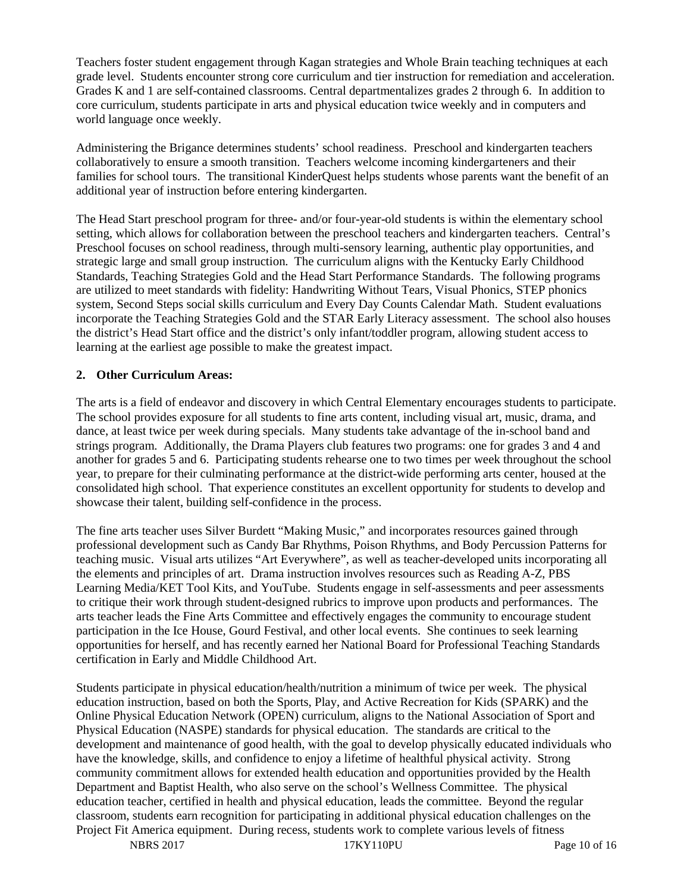Teachers foster student engagement through Kagan strategies and Whole Brain teaching techniques at each grade level. Students encounter strong core curriculum and tier instruction for remediation and acceleration. Grades K and 1 are self-contained classrooms. Central departmentalizes grades 2 through 6. In addition to core curriculum, students participate in arts and physical education twice weekly and in computers and world language once weekly.

Administering the Brigance determines students' school readiness. Preschool and kindergarten teachers collaboratively to ensure a smooth transition. Teachers welcome incoming kindergarteners and their families for school tours. The transitional KinderQuest helps students whose parents want the benefit of an additional year of instruction before entering kindergarten.

The Head Start preschool program for three- and/or four-year-old students is within the elementary school setting, which allows for collaboration between the preschool teachers and kindergarten teachers. Central's Preschool focuses on school readiness, through multi-sensory learning, authentic play opportunities, and strategic large and small group instruction. The curriculum aligns with the Kentucky Early Childhood Standards, Teaching Strategies Gold and the Head Start Performance Standards. The following programs are utilized to meet standards with fidelity: Handwriting Without Tears, Visual Phonics, STEP phonics system, Second Steps social skills curriculum and Every Day Counts Calendar Math. Student evaluations incorporate the Teaching Strategies Gold and the STAR Early Literacy assessment. The school also houses the district's Head Start office and the district's only infant/toddler program, allowing student access to learning at the earliest age possible to make the greatest impact.

# **2. Other Curriculum Areas:**

The arts is a field of endeavor and discovery in which Central Elementary encourages students to participate. The school provides exposure for all students to fine arts content, including visual art, music, drama, and dance, at least twice per week during specials. Many students take advantage of the in-school band and strings program. Additionally, the Drama Players club features two programs: one for grades 3 and 4 and another for grades 5 and 6. Participating students rehearse one to two times per week throughout the school year, to prepare for their culminating performance at the district-wide performing arts center, housed at the consolidated high school. That experience constitutes an excellent opportunity for students to develop and showcase their talent, building self-confidence in the process.

The fine arts teacher uses Silver Burdett "Making Music," and incorporates resources gained through professional development such as Candy Bar Rhythms, Poison Rhythms, and Body Percussion Patterns for teaching music. Visual arts utilizes "Art Everywhere", as well as teacher-developed units incorporating all the elements and principles of art. Drama instruction involves resources such as Reading A-Z, PBS Learning Media/KET Tool Kits, and YouTube. Students engage in self-assessments and peer assessments to critique their work through student-designed rubrics to improve upon products and performances. The arts teacher leads the Fine Arts Committee and effectively engages the community to encourage student participation in the Ice House, Gourd Festival, and other local events. She continues to seek learning opportunities for herself, and has recently earned her National Board for Professional Teaching Standards certification in Early and Middle Childhood Art.

Students participate in physical education/health/nutrition a minimum of twice per week. The physical education instruction, based on both the Sports, Play, and Active Recreation for Kids (SPARK) and the Online Physical Education Network (OPEN) curriculum, aligns to the National Association of Sport and Physical Education (NASPE) standards for physical education. The standards are critical to the development and maintenance of good health, with the goal to develop physically educated individuals who have the knowledge, skills, and confidence to enjoy a lifetime of healthful physical activity. Strong community commitment allows for extended health education and opportunities provided by the Health Department and Baptist Health, who also serve on the school's Wellness Committee. The physical education teacher, certified in health and physical education, leads the committee. Beyond the regular classroom, students earn recognition for participating in additional physical education challenges on the Project Fit America equipment. During recess, students work to complete various levels of fitness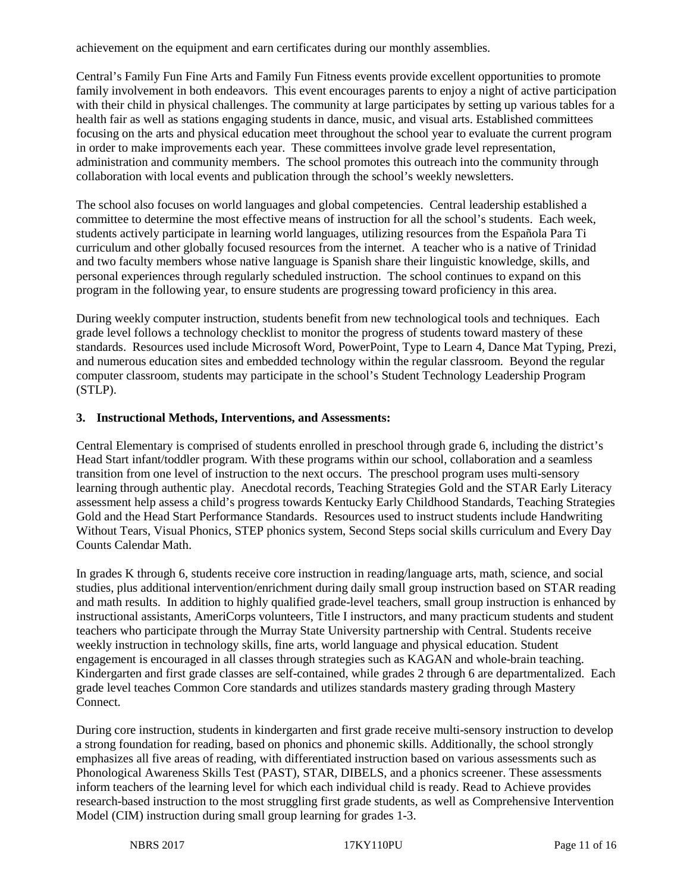achievement on the equipment and earn certificates during our monthly assemblies.

Central's Family Fun Fine Arts and Family Fun Fitness events provide excellent opportunities to promote family involvement in both endeavors. This event encourages parents to enjoy a night of active participation with their child in physical challenges. The community at large participates by setting up various tables for a health fair as well as stations engaging students in dance, music, and visual arts. Established committees focusing on the arts and physical education meet throughout the school year to evaluate the current program in order to make improvements each year. These committees involve grade level representation, administration and community members. The school promotes this outreach into the community through collaboration with local events and publication through the school's weekly newsletters.

The school also focuses on world languages and global competencies. Central leadership established a committee to determine the most effective means of instruction for all the school's students. Each week, students actively participate in learning world languages, utilizing resources from the Española Para Ti curriculum and other globally focused resources from the internet. A teacher who is a native of Trinidad and two faculty members whose native language is Spanish share their linguistic knowledge, skills, and personal experiences through regularly scheduled instruction. The school continues to expand on this program in the following year, to ensure students are progressing toward proficiency in this area.

During weekly computer instruction, students benefit from new technological tools and techniques. Each grade level follows a technology checklist to monitor the progress of students toward mastery of these standards. Resources used include Microsoft Word, PowerPoint, Type to Learn 4, Dance Mat Typing, Prezi, and numerous education sites and embedded technology within the regular classroom. Beyond the regular computer classroom, students may participate in the school's Student Technology Leadership Program (STLP).

#### **3. Instructional Methods, Interventions, and Assessments:**

Central Elementary is comprised of students enrolled in preschool through grade 6, including the district's Head Start infant/toddler program. With these programs within our school, collaboration and a seamless transition from one level of instruction to the next occurs. The preschool program uses multi-sensory learning through authentic play. Anecdotal records, Teaching Strategies Gold and the STAR Early Literacy assessment help assess a child's progress towards Kentucky Early Childhood Standards, Teaching Strategies Gold and the Head Start Performance Standards. Resources used to instruct students include Handwriting Without Tears, Visual Phonics, STEP phonics system, Second Steps social skills curriculum and Every Day Counts Calendar Math.

In grades K through 6, students receive core instruction in reading/language arts, math, science, and social studies, plus additional intervention/enrichment during daily small group instruction based on STAR reading and math results. In addition to highly qualified grade-level teachers, small group instruction is enhanced by instructional assistants, AmeriCorps volunteers, Title I instructors, and many practicum students and student teachers who participate through the Murray State University partnership with Central. Students receive weekly instruction in technology skills, fine arts, world language and physical education. Student engagement is encouraged in all classes through strategies such as KAGAN and whole-brain teaching. Kindergarten and first grade classes are self-contained, while grades 2 through 6 are departmentalized. Each grade level teaches Common Core standards and utilizes standards mastery grading through Mastery Connect.

During core instruction, students in kindergarten and first grade receive multi-sensory instruction to develop a strong foundation for reading, based on phonics and phonemic skills. Additionally, the school strongly emphasizes all five areas of reading, with differentiated instruction based on various assessments such as Phonological Awareness Skills Test (PAST), STAR, DIBELS, and a phonics screener. These assessments inform teachers of the learning level for which each individual child is ready. Read to Achieve provides research-based instruction to the most struggling first grade students, as well as Comprehensive Intervention Model (CIM) instruction during small group learning for grades 1-3.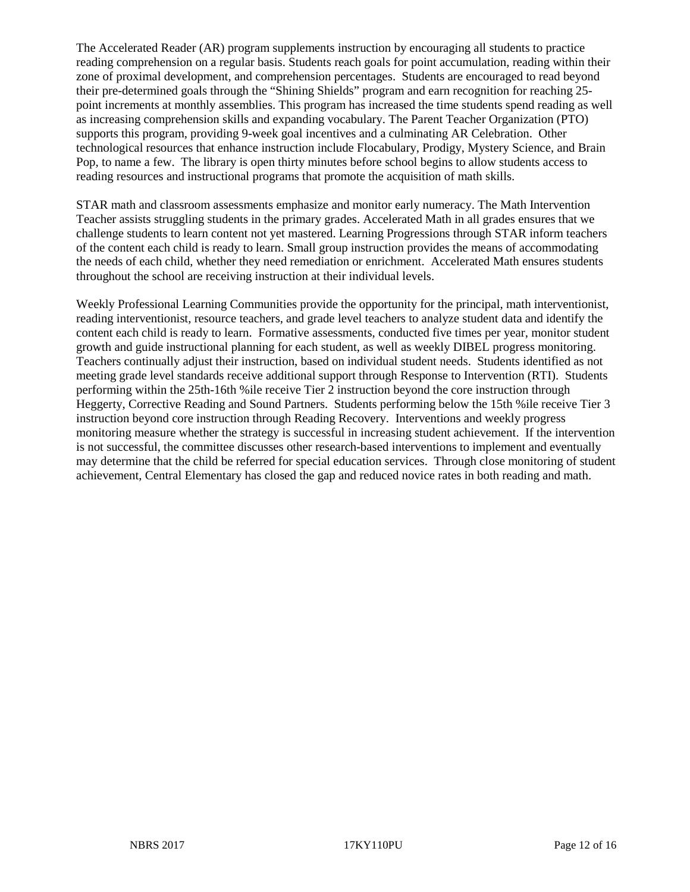The Accelerated Reader (AR) program supplements instruction by encouraging all students to practice reading comprehension on a regular basis. Students reach goals for point accumulation, reading within their zone of proximal development, and comprehension percentages. Students are encouraged to read beyond their pre-determined goals through the "Shining Shields" program and earn recognition for reaching 25 point increments at monthly assemblies. This program has increased the time students spend reading as well as increasing comprehension skills and expanding vocabulary. The Parent Teacher Organization (PTO) supports this program, providing 9-week goal incentives and a culminating AR Celebration. Other technological resources that enhance instruction include Flocabulary, Prodigy, Mystery Science, and Brain Pop, to name a few. The library is open thirty minutes before school begins to allow students access to reading resources and instructional programs that promote the acquisition of math skills.

STAR math and classroom assessments emphasize and monitor early numeracy. The Math Intervention Teacher assists struggling students in the primary grades. Accelerated Math in all grades ensures that we challenge students to learn content not yet mastered. Learning Progressions through STAR inform teachers of the content each child is ready to learn. Small group instruction provides the means of accommodating the needs of each child, whether they need remediation or enrichment. Accelerated Math ensures students throughout the school are receiving instruction at their individual levels.

Weekly Professional Learning Communities provide the opportunity for the principal, math interventionist, reading interventionist, resource teachers, and grade level teachers to analyze student data and identify the content each child is ready to learn. Formative assessments, conducted five times per year, monitor student growth and guide instructional planning for each student, as well as weekly DIBEL progress monitoring. Teachers continually adjust their instruction, based on individual student needs. Students identified as not meeting grade level standards receive additional support through Response to Intervention (RTI). Students performing within the 25th-16th %ile receive Tier 2 instruction beyond the core instruction through Heggerty, Corrective Reading and Sound Partners. Students performing below the 15th %ile receive Tier 3 instruction beyond core instruction through Reading Recovery. Interventions and weekly progress monitoring measure whether the strategy is successful in increasing student achievement. If the intervention is not successful, the committee discusses other research-based interventions to implement and eventually may determine that the child be referred for special education services. Through close monitoring of student achievement, Central Elementary has closed the gap and reduced novice rates in both reading and math.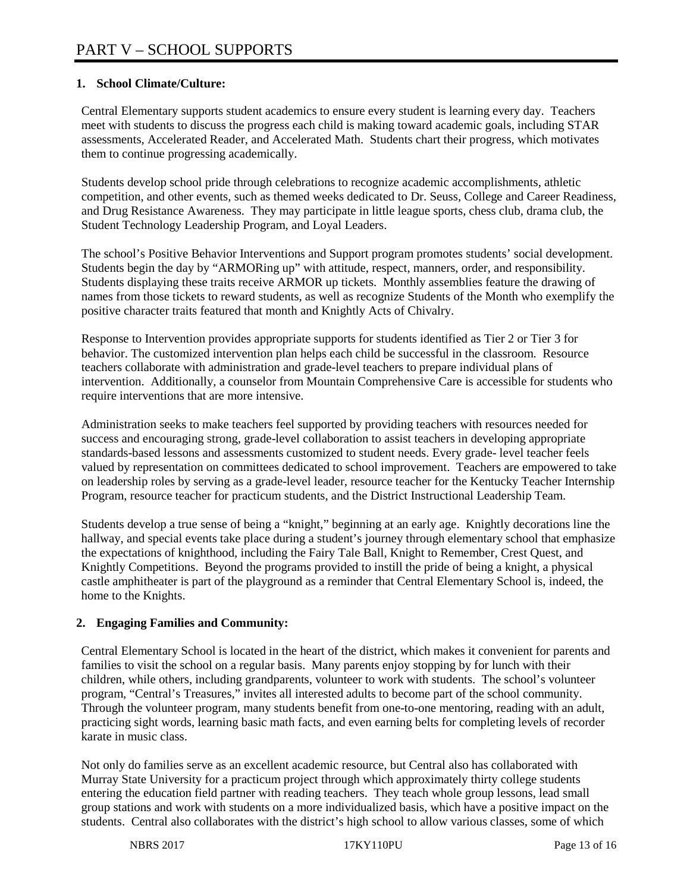# **1. School Climate/Culture:**

Central Elementary supports student academics to ensure every student is learning every day. Teachers meet with students to discuss the progress each child is making toward academic goals, including STAR assessments, Accelerated Reader, and Accelerated Math. Students chart their progress, which motivates them to continue progressing academically.

Students develop school pride through celebrations to recognize academic accomplishments, athletic competition, and other events, such as themed weeks dedicated to Dr. Seuss, College and Career Readiness, and Drug Resistance Awareness. They may participate in little league sports, chess club, drama club, the Student Technology Leadership Program, and Loyal Leaders.

The school's Positive Behavior Interventions and Support program promotes students' social development. Students begin the day by "ARMORing up" with attitude, respect, manners, order, and responsibility. Students displaying these traits receive ARMOR up tickets. Monthly assemblies feature the drawing of names from those tickets to reward students, as well as recognize Students of the Month who exemplify the positive character traits featured that month and Knightly Acts of Chivalry.

Response to Intervention provides appropriate supports for students identified as Tier 2 or Tier 3 for behavior. The customized intervention plan helps each child be successful in the classroom. Resource teachers collaborate with administration and grade-level teachers to prepare individual plans of intervention. Additionally, a counselor from Mountain Comprehensive Care is accessible for students who require interventions that are more intensive.

Administration seeks to make teachers feel supported by providing teachers with resources needed for success and encouraging strong, grade-level collaboration to assist teachers in developing appropriate standards-based lessons and assessments customized to student needs. Every grade- level teacher feels valued by representation on committees dedicated to school improvement. Teachers are empowered to take on leadership roles by serving as a grade-level leader, resource teacher for the Kentucky Teacher Internship Program, resource teacher for practicum students, and the District Instructional Leadership Team.

Students develop a true sense of being a "knight," beginning at an early age. Knightly decorations line the hallway, and special events take place during a student's journey through elementary school that emphasize the expectations of knighthood, including the Fairy Tale Ball, Knight to Remember, Crest Quest, and Knightly Competitions. Beyond the programs provided to instill the pride of being a knight, a physical castle amphitheater is part of the playground as a reminder that Central Elementary School is, indeed, the home to the Knights.

# **2. Engaging Families and Community:**

Central Elementary School is located in the heart of the district, which makes it convenient for parents and families to visit the school on a regular basis. Many parents enjoy stopping by for lunch with their children, while others, including grandparents, volunteer to work with students. The school's volunteer program, "Central's Treasures," invites all interested adults to become part of the school community. Through the volunteer program, many students benefit from one-to-one mentoring, reading with an adult, practicing sight words, learning basic math facts, and even earning belts for completing levels of recorder karate in music class.

Not only do families serve as an excellent academic resource, but Central also has collaborated with Murray State University for a practicum project through which approximately thirty college students entering the education field partner with reading teachers. They teach whole group lessons, lead small group stations and work with students on a more individualized basis, which have a positive impact on the students. Central also collaborates with the district's high school to allow various classes, some of which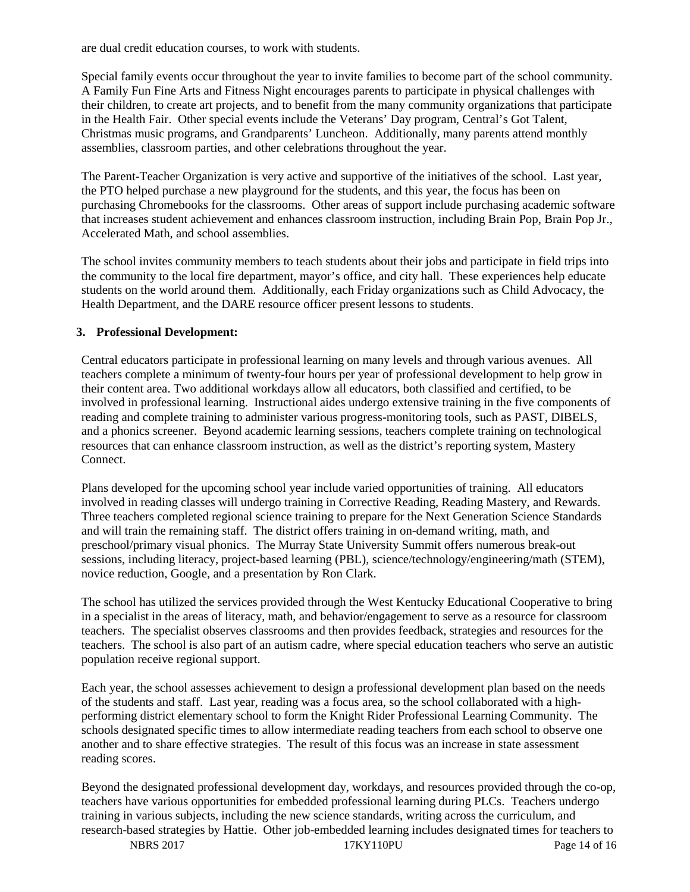are dual credit education courses, to work with students.

Special family events occur throughout the year to invite families to become part of the school community. A Family Fun Fine Arts and Fitness Night encourages parents to participate in physical challenges with their children, to create art projects, and to benefit from the many community organizations that participate in the Health Fair. Other special events include the Veterans' Day program, Central's Got Talent, Christmas music programs, and Grandparents' Luncheon. Additionally, many parents attend monthly assemblies, classroom parties, and other celebrations throughout the year.

The Parent-Teacher Organization is very active and supportive of the initiatives of the school. Last year, the PTO helped purchase a new playground for the students, and this year, the focus has been on purchasing Chromebooks for the classrooms. Other areas of support include purchasing academic software that increases student achievement and enhances classroom instruction, including Brain Pop, Brain Pop Jr., Accelerated Math, and school assemblies.

The school invites community members to teach students about their jobs and participate in field trips into the community to the local fire department, mayor's office, and city hall. These experiences help educate students on the world around them. Additionally, each Friday organizations such as Child Advocacy, the Health Department, and the DARE resource officer present lessons to students.

## **3. Professional Development:**

Central educators participate in professional learning on many levels and through various avenues. All teachers complete a minimum of twenty-four hours per year of professional development to help grow in their content area. Two additional workdays allow all educators, both classified and certified, to be involved in professional learning. Instructional aides undergo extensive training in the five components of reading and complete training to administer various progress-monitoring tools, such as PAST, DIBELS, and a phonics screener. Beyond academic learning sessions, teachers complete training on technological resources that can enhance classroom instruction, as well as the district's reporting system, Mastery Connect.

Plans developed for the upcoming school year include varied opportunities of training. All educators involved in reading classes will undergo training in Corrective Reading, Reading Mastery, and Rewards. Three teachers completed regional science training to prepare for the Next Generation Science Standards and will train the remaining staff. The district offers training in on-demand writing, math, and preschool/primary visual phonics. The Murray State University Summit offers numerous break-out sessions, including literacy, project-based learning (PBL), science/technology/engineering/math (STEM), novice reduction, Google, and a presentation by Ron Clark.

The school has utilized the services provided through the West Kentucky Educational Cooperative to bring in a specialist in the areas of literacy, math, and behavior/engagement to serve as a resource for classroom teachers. The specialist observes classrooms and then provides feedback, strategies and resources for the teachers. The school is also part of an autism cadre, where special education teachers who serve an autistic population receive regional support.

Each year, the school assesses achievement to design a professional development plan based on the needs of the students and staff. Last year, reading was a focus area, so the school collaborated with a highperforming district elementary school to form the Knight Rider Professional Learning Community. The schools designated specific times to allow intermediate reading teachers from each school to observe one another and to share effective strategies. The result of this focus was an increase in state assessment reading scores.

Beyond the designated professional development day, workdays, and resources provided through the co-op, teachers have various opportunities for embedded professional learning during PLCs. Teachers undergo training in various subjects, including the new science standards, writing across the curriculum, and research-based strategies by Hattie. Other job-embedded learning includes designated times for teachers to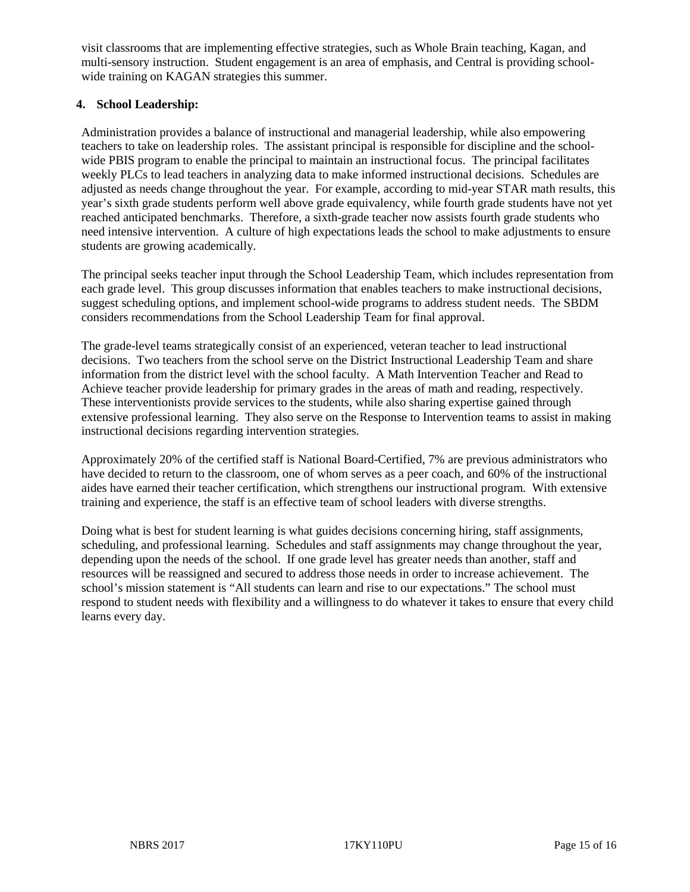visit classrooms that are implementing effective strategies, such as Whole Brain teaching, Kagan, and multi-sensory instruction. Student engagement is an area of emphasis, and Central is providing schoolwide training on KAGAN strategies this summer.

### **4. School Leadership:**

Administration provides a balance of instructional and managerial leadership, while also empowering teachers to take on leadership roles. The assistant principal is responsible for discipline and the schoolwide PBIS program to enable the principal to maintain an instructional focus. The principal facilitates weekly PLCs to lead teachers in analyzing data to make informed instructional decisions. Schedules are adjusted as needs change throughout the year. For example, according to mid-year STAR math results, this year's sixth grade students perform well above grade equivalency, while fourth grade students have not yet reached anticipated benchmarks. Therefore, a sixth-grade teacher now assists fourth grade students who need intensive intervention. A culture of high expectations leads the school to make adjustments to ensure students are growing academically.

The principal seeks teacher input through the School Leadership Team, which includes representation from each grade level. This group discusses information that enables teachers to make instructional decisions, suggest scheduling options, and implement school-wide programs to address student needs. The SBDM considers recommendations from the School Leadership Team for final approval.

The grade-level teams strategically consist of an experienced, veteran teacher to lead instructional decisions. Two teachers from the school serve on the District Instructional Leadership Team and share information from the district level with the school faculty. A Math Intervention Teacher and Read to Achieve teacher provide leadership for primary grades in the areas of math and reading, respectively. These interventionists provide services to the students, while also sharing expertise gained through extensive professional learning. They also serve on the Response to Intervention teams to assist in making instructional decisions regarding intervention strategies.

Approximately 20% of the certified staff is National Board-Certified, 7% are previous administrators who have decided to return to the classroom, one of whom serves as a peer coach, and 60% of the instructional aides have earned their teacher certification, which strengthens our instructional program. With extensive training and experience, the staff is an effective team of school leaders with diverse strengths.

Doing what is best for student learning is what guides decisions concerning hiring, staff assignments, scheduling, and professional learning. Schedules and staff assignments may change throughout the year, depending upon the needs of the school. If one grade level has greater needs than another, staff and resources will be reassigned and secured to address those needs in order to increase achievement. The school's mission statement is "All students can learn and rise to our expectations." The school must respond to student needs with flexibility and a willingness to do whatever it takes to ensure that every child learns every day.